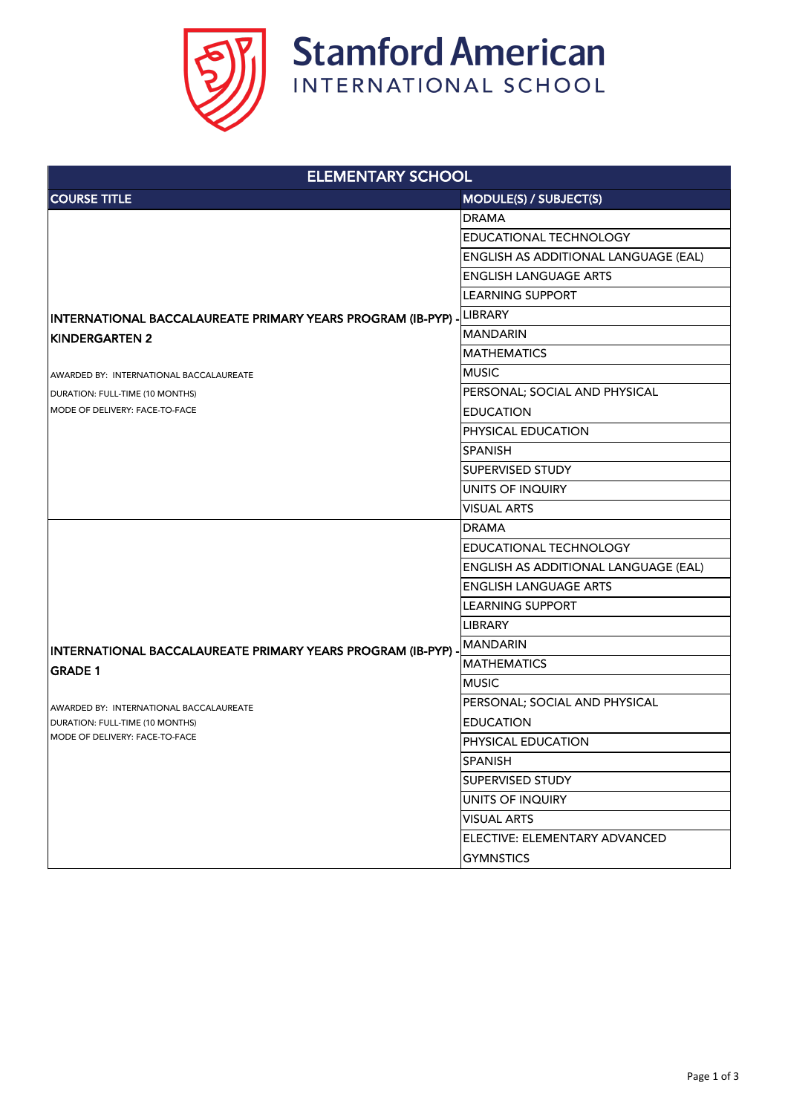

| <b>ELEMENTARY SCHOOL</b>                                                                                                                                                                              |                                             |  |
|-------------------------------------------------------------------------------------------------------------------------------------------------------------------------------------------------------|---------------------------------------------|--|
| <b>COURSE TITLE</b>                                                                                                                                                                                   | <b>MODULE(S) / SUBJECT(S)</b>               |  |
| INTERNATIONAL BACCALAUREATE PRIMARY YEARS PROGRAM (IB-PYP) -<br><b>KINDERGARTEN 2</b><br>AWARDED BY: INTERNATIONAL BACCALAUREATE<br>DURATION: FULL-TIME (10 MONTHS)<br>MODE OF DELIVERY: FACE-TO-FACE | <b>DRAMA</b>                                |  |
|                                                                                                                                                                                                       | <b>EDUCATIONAL TECHNOLOGY</b>               |  |
|                                                                                                                                                                                                       | <b>ENGLISH AS ADDITIONAL LANGUAGE (EAL)</b> |  |
|                                                                                                                                                                                                       | <b>ENGLISH LANGUAGE ARTS</b>                |  |
|                                                                                                                                                                                                       | <b>LEARNING SUPPORT</b>                     |  |
|                                                                                                                                                                                                       | LIBRARY                                     |  |
|                                                                                                                                                                                                       | <b>MANDARIN</b>                             |  |
|                                                                                                                                                                                                       | <b>MATHEMATICS</b>                          |  |
|                                                                                                                                                                                                       | <b>MUSIC</b>                                |  |
|                                                                                                                                                                                                       | PERSONAL; SOCIAL AND PHYSICAL               |  |
|                                                                                                                                                                                                       | <b>EDUCATION</b>                            |  |
|                                                                                                                                                                                                       | <b>PHYSICAL EDUCATION</b>                   |  |
|                                                                                                                                                                                                       | <b>SPANISH</b>                              |  |
|                                                                                                                                                                                                       | <b>SUPERVISED STUDY</b>                     |  |
|                                                                                                                                                                                                       | <b>UNITS OF INQUIRY</b>                     |  |
|                                                                                                                                                                                                       | <b>VISUAL ARTS</b>                          |  |
|                                                                                                                                                                                                       | <b>DRAMA</b>                                |  |
| INTERNATIONAL BACCALAUREATE PRIMARY YEARS PROGRAM (IB-PYP) -<br><b>GRADE 1</b><br>AWARDED BY: INTERNATIONAL BACCALAUREATE<br>DURATION: FULL-TIME (10 MONTHS)<br>MODE OF DELIVERY: FACE-TO-FACE        | <b>EDUCATIONAL TECHNOLOGY</b>               |  |
|                                                                                                                                                                                                       | <b>ENGLISH AS ADDITIONAL LANGUAGE (EAL)</b> |  |
|                                                                                                                                                                                                       | <b>ENGLISH LANGUAGE ARTS</b>                |  |
|                                                                                                                                                                                                       | <b>LEARNING SUPPORT</b>                     |  |
|                                                                                                                                                                                                       | <b>LIBRARY</b>                              |  |
|                                                                                                                                                                                                       | MANDARIN                                    |  |
|                                                                                                                                                                                                       | <b>MATHEMATICS</b>                          |  |
|                                                                                                                                                                                                       | <b>MUSIC</b>                                |  |
|                                                                                                                                                                                                       | PERSONAL; SOCIAL AND PHYSICAL               |  |
|                                                                                                                                                                                                       | <b>EDUCATION</b>                            |  |
|                                                                                                                                                                                                       | <b>PHYSICAL EDUCATION</b>                   |  |
|                                                                                                                                                                                                       | <b>SPANISH</b>                              |  |
|                                                                                                                                                                                                       | <b>SUPERVISED STUDY</b>                     |  |
|                                                                                                                                                                                                       | <b>UNITS OF INQUIRY</b>                     |  |
|                                                                                                                                                                                                       | <b>VISUAL ARTS</b>                          |  |
|                                                                                                                                                                                                       | ELECTIVE: ELEMENTARY ADVANCED               |  |
|                                                                                                                                                                                                       | <b>GYMNSTICS</b>                            |  |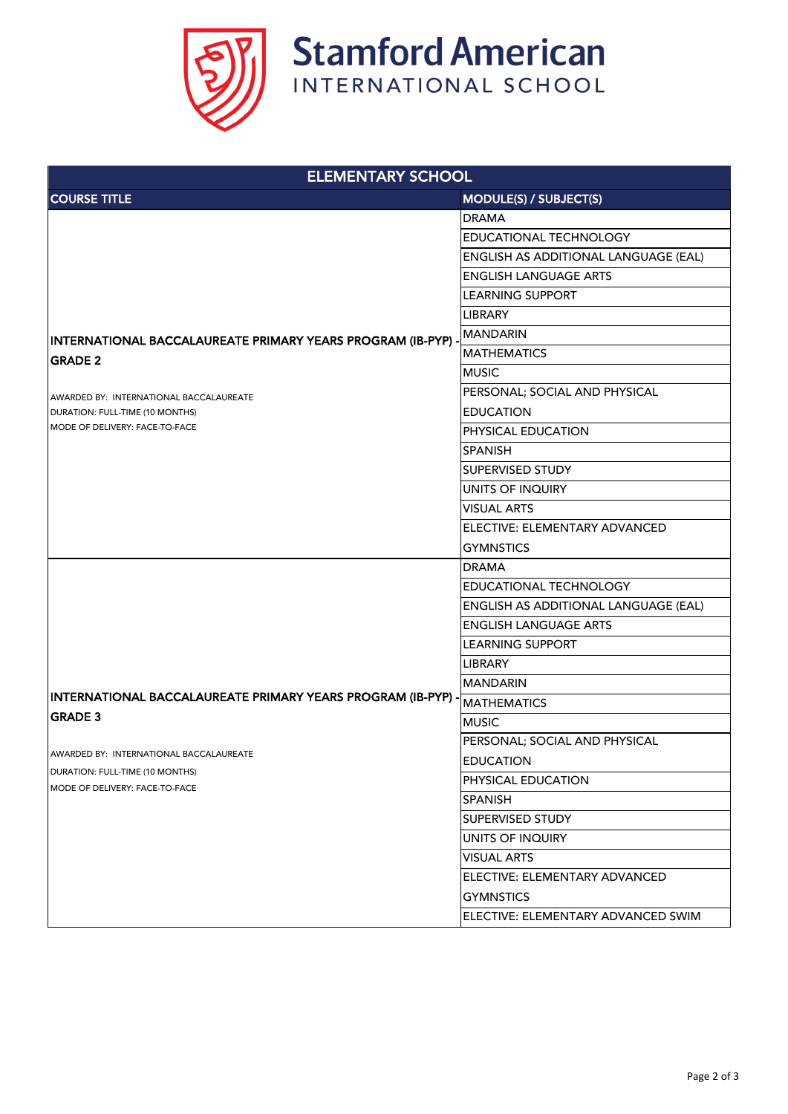

| <b>ELEMENTARY SCHOOL</b>                                                                                                                                     |                                             |  |
|--------------------------------------------------------------------------------------------------------------------------------------------------------------|---------------------------------------------|--|
| <b>COURSE TITLE</b>                                                                                                                                          | <b>MODULE(S) / SUBJECT(S)</b>               |  |
| INTERNATIONAL BACCALAUREATE PRIMARY YEARS PROGRAM (IB-PYP) -<br><b>GRADE 2</b><br>AWARDED BY: INTERNATIONAL BACCALAUREATE<br>DURATION: FULL-TIME (10 MONTHS) | <b>DRAMA</b>                                |  |
|                                                                                                                                                              | <b>EDUCATIONAL TECHNOLOGY</b>               |  |
|                                                                                                                                                              | <b>ENGLISH AS ADDITIONAL LANGUAGE (EAL)</b> |  |
|                                                                                                                                                              | <b>ENGLISH LANGUAGE ARTS</b>                |  |
|                                                                                                                                                              | <b>LEARNING SUPPORT</b>                     |  |
|                                                                                                                                                              | <b>LIBRARY</b>                              |  |
|                                                                                                                                                              | <b>IMANDARIN</b>                            |  |
|                                                                                                                                                              | <b>MATHEMATICS</b>                          |  |
|                                                                                                                                                              | <b>MUSIC</b>                                |  |
|                                                                                                                                                              | PERSONAL; SOCIAL AND PHYSICAL               |  |
|                                                                                                                                                              | <b>EDUCATION</b>                            |  |
| <b>IMODE OF DELIVERY: FACE-TO-FACE</b>                                                                                                                       | <b>PHYSICAL EDUCATION</b>                   |  |
|                                                                                                                                                              | <b>SPANISH</b>                              |  |
|                                                                                                                                                              | <b>SUPERVISED STUDY</b>                     |  |
|                                                                                                                                                              | UNITS OF INQUIRY                            |  |
|                                                                                                                                                              | <b>VISUAL ARTS</b>                          |  |
|                                                                                                                                                              | ELECTIVE: ELEMENTARY ADVANCED               |  |
|                                                                                                                                                              | <b>GYMNSTICS</b>                            |  |
|                                                                                                                                                              | <b>DRAMA</b>                                |  |
|                                                                                                                                                              | <b>EDUCATIONAL TECHNOLOGY</b>               |  |
| INTERNATIONAL BACCALAUREATE PRIMARY YEARS PROGRAM (IB-PYP) -<br><b>GRADE 3</b>                                                                               | <b>ENGLISH AS ADDITIONAL LANGUAGE (EAL)</b> |  |
|                                                                                                                                                              | <b>ENGLISH LANGUAGE ARTS</b>                |  |
|                                                                                                                                                              | LEARNING SUPPORT                            |  |
|                                                                                                                                                              | <b>LIBRARY</b>                              |  |
|                                                                                                                                                              | <b>MANDARIN</b>                             |  |
|                                                                                                                                                              | <b>MATHEMATICS</b>                          |  |
|                                                                                                                                                              | <b>MUSIC</b>                                |  |
|                                                                                                                                                              | PERSONAL; SOCIAL AND PHYSICAL               |  |
| AWARDED BY: INTERNATIONAL BACCALAUREATE                                                                                                                      | <b>EDUCATION</b>                            |  |
| DURATION: FULL-TIME (10 MONTHS)<br>MODE OF DELIVERY: FACE-TO-FACE                                                                                            | <b>PHYSICAL EDUCATION</b>                   |  |
|                                                                                                                                                              | <b>SPANISH</b>                              |  |
|                                                                                                                                                              | <b>SUPERVISED STUDY</b>                     |  |
|                                                                                                                                                              | UNITS OF INQUIRY                            |  |
|                                                                                                                                                              | <b>VISUAL ARTS</b>                          |  |
|                                                                                                                                                              | ELECTIVE: ELEMENTARY ADVANCED               |  |
|                                                                                                                                                              | <b>GYMNSTICS</b>                            |  |
|                                                                                                                                                              | ELECTIVE: ELEMENTARY ADVANCED SWIM          |  |